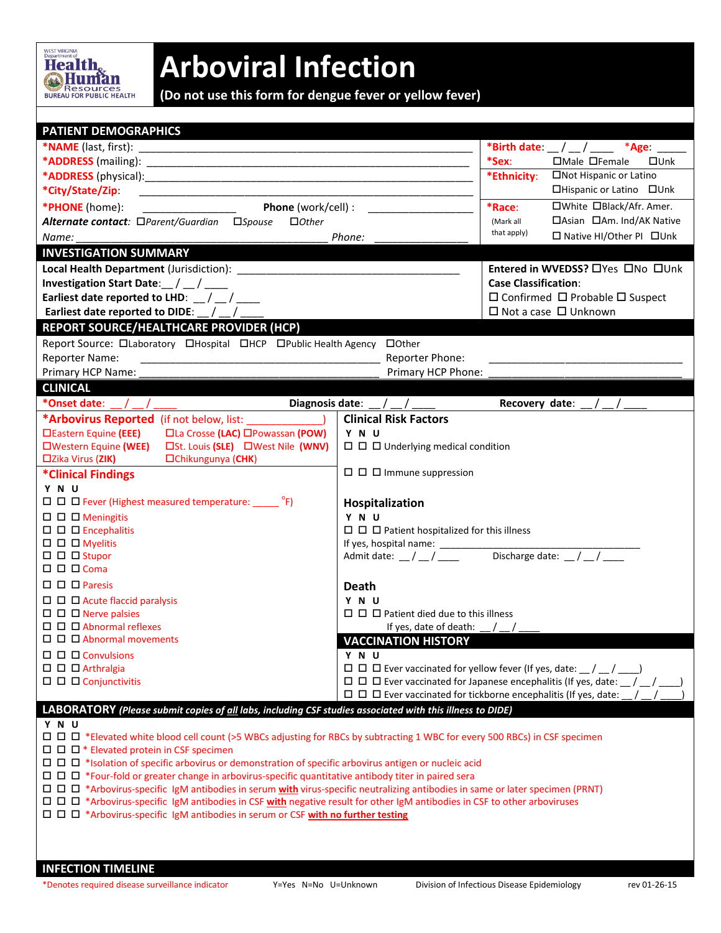

## **Arboviral Infection**

**(Do not use this form for dengue fever or yellow fever)**

| <b>PATIENT DEMOGRAPHICS</b>                                                                                                         |                                                                                        |                                                                         |  |  |  |  |  |
|-------------------------------------------------------------------------------------------------------------------------------------|----------------------------------------------------------------------------------------|-------------------------------------------------------------------------|--|--|--|--|--|
|                                                                                                                                     | *Birth date: __ / __ / _____ *Age: _____                                               |                                                                         |  |  |  |  |  |
|                                                                                                                                     | $*$ Sex:<br>□Male □Female<br>$\square$ Unk                                             |                                                                         |  |  |  |  |  |
|                                                                                                                                     |                                                                                        | □Not Hispanic or Latino<br>*Ethnicity:                                  |  |  |  |  |  |
| *City/State/Zip:                                                                                                                    |                                                                                        | □Hispanic or Latino □Unk                                                |  |  |  |  |  |
| Phone (work/cell) :<br>*PHONE (home):                                                                                               |                                                                                        | □White □Black/Afr. Amer.<br>*Race:                                      |  |  |  |  |  |
| Alternate contact: □Parent/Guardian □Spouse<br>$\Box$ Other                                                                         | □Asian □Am. Ind/AK Native<br>(Mark all                                                 |                                                                         |  |  |  |  |  |
| Name:<br>Phone:                                                                                                                     | that apply)<br>□ Native HI/Other PI □ Unk                                              |                                                                         |  |  |  |  |  |
| <b>INVESTIGATION SUMMARY</b>                                                                                                        |                                                                                        |                                                                         |  |  |  |  |  |
|                                                                                                                                     |                                                                                        | Entered in WVEDSS? □Yes □No □Unk                                        |  |  |  |  |  |
| Investigation Start Date: $/$ $/$ $/$                                                                                               | <b>Case Classification:</b>                                                            |                                                                         |  |  |  |  |  |
| Earliest date reported to LHD: / /                                                                                                  | $\Box$ Confirmed $\Box$ Probable $\Box$ Suspect                                        |                                                                         |  |  |  |  |  |
| Earliest date reported to DIDE: __/ __                                                                                              | $\Box$ Not a case $\Box$ Unknown                                                       |                                                                         |  |  |  |  |  |
| REPORT SOURCE/HEALTHCARE PROVIDER (HCP)                                                                                             |                                                                                        |                                                                         |  |  |  |  |  |
| Report Source: Olaboratory OHospital OHCP OPublic Health Agency OOther                                                              |                                                                                        |                                                                         |  |  |  |  |  |
| <b>Reporter Name:</b><br><u> 1989 - Johann John Stone, mars eta biztanleria (h. 1989).</u>                                          | Reporter Phone:                                                                        |                                                                         |  |  |  |  |  |
| Primary HCP Name:                                                                                                                   |                                                                                        |                                                                         |  |  |  |  |  |
| <b>CLINICAL</b>                                                                                                                     | Primary HCP Phone:                                                                     |                                                                         |  |  |  |  |  |
| *Onset date:                                                                                                                        |                                                                                        |                                                                         |  |  |  |  |  |
|                                                                                                                                     | Diagnosis date: / /                                                                    | Recovery date:                                                          |  |  |  |  |  |
| *Arbovirus Reported (if not below, list: )                                                                                          | <b>Clinical Risk Factors</b>                                                           |                                                                         |  |  |  |  |  |
| □La Crosse (LAC) □Powassan (POW)<br>□Eastern Equine (EEE)                                                                           | Y N U                                                                                  |                                                                         |  |  |  |  |  |
| □Western Equine (WEE)<br>□St. Louis (SLE) □West Nile (WNV)<br>□Chikungunya (CHK)<br>$\square$ Zika Virus (ZIK)                      | $\Box$ $\Box$ Underlying medical condition                                             |                                                                         |  |  |  |  |  |
|                                                                                                                                     | $\Box$ $\Box$ Immune suppression                                                       |                                                                         |  |  |  |  |  |
| *Clinical Findings<br>Y N U                                                                                                         |                                                                                        |                                                                         |  |  |  |  |  |
| $\Box$ $\Box$ $\Box$ Fever (Highest measured temperature: ______ °F)                                                                |                                                                                        |                                                                         |  |  |  |  |  |
|                                                                                                                                     | Hospitalization                                                                        |                                                                         |  |  |  |  |  |
| $\square$ $\square$ $\square$ Meningitis                                                                                            | Y N U                                                                                  |                                                                         |  |  |  |  |  |
| $\square$ $\square$ Encephalitis<br>$\Box$ $\Box$ Myelitis                                                                          | $\Box$ $\Box$ Patient hospitalized for this illness                                    |                                                                         |  |  |  |  |  |
| $\Box$ $\Box$ Stupor                                                                                                                | Discharge date: $\frac{1}{2}$ / $\frac{1}{2}$                                          |                                                                         |  |  |  |  |  |
| $\Box$ $\Box$ $\Box$ Coma                                                                                                           | Admit date: $\frac{1}{2}$ / $\frac{1}{2}$                                              |                                                                         |  |  |  |  |  |
| $\Box$ $\Box$ Paresis                                                                                                               |                                                                                        |                                                                         |  |  |  |  |  |
|                                                                                                                                     | <b>Death</b>                                                                           |                                                                         |  |  |  |  |  |
| $\Box$ $\Box$ Acute flaccid paralysis<br>$\Box$ $\Box$ Nerve palsies                                                                | Y N U<br>$\Box$ $\Box$ Patient died due to this illness                                |                                                                         |  |  |  |  |  |
| $\Box$ $\Box$ $\Box$ Abnormal reflexes                                                                                              |                                                                                        |                                                                         |  |  |  |  |  |
| $\Box$ $\Box$ $\Box$ Abnormal movements                                                                                             | If yes, date of death: $\frac{1}{2}$ /                                                 |                                                                         |  |  |  |  |  |
| $\Box$ $\Box$ Convulsions                                                                                                           | <b>VACCINATION HISTORY</b>                                                             |                                                                         |  |  |  |  |  |
| $\Box$ $\Box$ Arthralgia                                                                                                            | YNU<br>$\Box$ $\Box$ Ever vaccinated for yellow fever (If yes, date: $\Box$ / $\Box$ ) |                                                                         |  |  |  |  |  |
| $\Box$ $\Box$ $\Box$ Conjunctivitis                                                                                                 | $\Box$ $\Box$ Ever vaccinated for Japanese encephalitis (If yes, date: $\Box$ /        |                                                                         |  |  |  |  |  |
|                                                                                                                                     |                                                                                        | $\Box$ $\Box$ Ever vaccinated for tickborne encephalitis (If yes, date: |  |  |  |  |  |
|                                                                                                                                     |                                                                                        |                                                                         |  |  |  |  |  |
| LABORATORY (Please submit copies of all labs, including CSF studies associated with this illness to DIDE)<br>Y N U                  |                                                                                        |                                                                         |  |  |  |  |  |
| □ □ □ *Elevated white blood cell count (>5 WBCs adjusting for RBCs by subtracting 1 WBC for every 500 RBCs) in CSF specimen         |                                                                                        |                                                                         |  |  |  |  |  |
| $\Box$ $\Box$ $\Box$ * Elevated protein in CSF specimen                                                                             |                                                                                        |                                                                         |  |  |  |  |  |
|                                                                                                                                     |                                                                                        |                                                                         |  |  |  |  |  |
| $\Box$ $\Box$ *Four-fold or greater change in arbovirus-specific quantitative antibody titer in paired sera                         |                                                                                        |                                                                         |  |  |  |  |  |
| □ □ □ *Arbovirus-specific IgM antibodies in serum with virus-specific neutralizing antibodies in same or later specimen (PRNT)      |                                                                                        |                                                                         |  |  |  |  |  |
| □ □ <sup>*</sup> Arbovirus-specific IgM antibodies in CSF with negative result for other IgM antibodies in CSF to other arboviruses |                                                                                        |                                                                         |  |  |  |  |  |
| $\Box$ $\Box$ $\Box$ *Arbovirus-specific IgM antibodies in serum or CSF with no further testing                                     |                                                                                        |                                                                         |  |  |  |  |  |
|                                                                                                                                     |                                                                                        |                                                                         |  |  |  |  |  |
|                                                                                                                                     |                                                                                        |                                                                         |  |  |  |  |  |
|                                                                                                                                     |                                                                                        |                                                                         |  |  |  |  |  |
| <b>INFECTION TIMELINE</b>                                                                                                           |                                                                                        |                                                                         |  |  |  |  |  |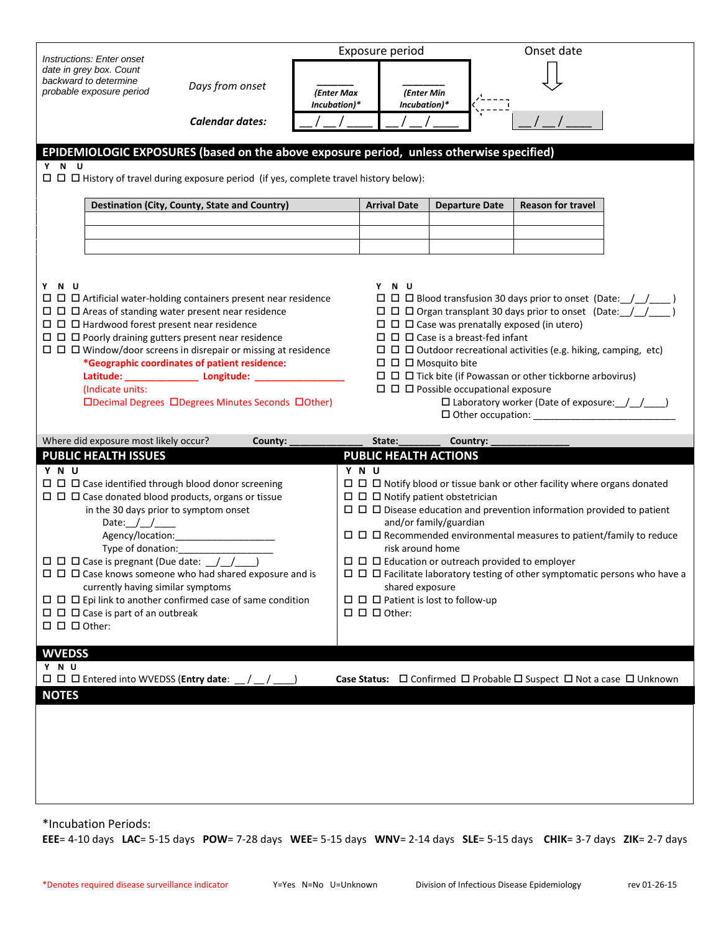| Instructions: Enter onset                                                                                                                                                                                                                                                                                                                                                                                                                                                                                                                                                                                                                                                                                                                                                                                                                                                                                                      | Exposure period                               |                            |                                                                                                                                                                                                                                                                                                                                                                                                                                                                                |                       | Onset date                                                           |  |  |  |  |
|--------------------------------------------------------------------------------------------------------------------------------------------------------------------------------------------------------------------------------------------------------------------------------------------------------------------------------------------------------------------------------------------------------------------------------------------------------------------------------------------------------------------------------------------------------------------------------------------------------------------------------------------------------------------------------------------------------------------------------------------------------------------------------------------------------------------------------------------------------------------------------------------------------------------------------|-----------------------------------------------|----------------------------|--------------------------------------------------------------------------------------------------------------------------------------------------------------------------------------------------------------------------------------------------------------------------------------------------------------------------------------------------------------------------------------------------------------------------------------------------------------------------------|-----------------------|----------------------------------------------------------------------|--|--|--|--|
| date in grey box. Count<br>backward to determine<br>Days from onset<br>probable exposure period                                                                                                                                                                                                                                                                                                                                                                                                                                                                                                                                                                                                                                                                                                                                                                                                                                |                                               | (Enter Max<br>Incubation)* | (Enter Min<br>Incubation)*                                                                                                                                                                                                                                                                                                                                                                                                                                                     |                       |                                                                      |  |  |  |  |
|                                                                                                                                                                                                                                                                                                                                                                                                                                                                                                                                                                                                                                                                                                                                                                                                                                                                                                                                | <b>Calendar dates:</b>                        |                            |                                                                                                                                                                                                                                                                                                                                                                                                                                                                                |                       |                                                                      |  |  |  |  |
| EPIDEMIOLOGIC EXPOSURES (based on the above exposure period, unless otherwise specified)                                                                                                                                                                                                                                                                                                                                                                                                                                                                                                                                                                                                                                                                                                                                                                                                                                       |                                               |                            |                                                                                                                                                                                                                                                                                                                                                                                                                                                                                |                       |                                                                      |  |  |  |  |
| Y N U<br>$\Box$ $\Box$ History of travel during exposure period (if yes, complete travel history below):                                                                                                                                                                                                                                                                                                                                                                                                                                                                                                                                                                                                                                                                                                                                                                                                                       |                                               |                            |                                                                                                                                                                                                                                                                                                                                                                                                                                                                                |                       |                                                                      |  |  |  |  |
|                                                                                                                                                                                                                                                                                                                                                                                                                                                                                                                                                                                                                                                                                                                                                                                                                                                                                                                                | Destination (City, County, State and Country) |                            | <b>Arrival Date</b>                                                                                                                                                                                                                                                                                                                                                                                                                                                            | <b>Departure Date</b> | <b>Reason for travel</b>                                             |  |  |  |  |
|                                                                                                                                                                                                                                                                                                                                                                                                                                                                                                                                                                                                                                                                                                                                                                                                                                                                                                                                |                                               |                            |                                                                                                                                                                                                                                                                                                                                                                                                                                                                                |                       |                                                                      |  |  |  |  |
|                                                                                                                                                                                                                                                                                                                                                                                                                                                                                                                                                                                                                                                                                                                                                                                                                                                                                                                                |                                               |                            |                                                                                                                                                                                                                                                                                                                                                                                                                                                                                |                       |                                                                      |  |  |  |  |
| Y N U<br>Y N U<br>$\Box$ $\Box$ $\Box$ Artificial water-holding containers present near residence<br>$\Box$ $\Box$ $\Box$ Blood transfusion 30 days prior to onset (Date: $\Box$<br>$\Box$ $\Box$ Areas of standing water present near residence<br>$\Box$ $\Box$ $\Box$ Organ transplant 30 days prior to onset (Date: $\Box$<br>$\Box$ $\Box$ $\Box$ Case was prenatally exposed (in utero)<br>$\Box$ $\Box$ Poorly draining gutters present near residence<br>$\Box$ $\Box$ $\Box$ Case is a breast-fed infant<br>$\Box$ $\Box$ $\Box$ Outdoor recreational activities (e.g. hiking, camping, etc)<br>*Geographic coordinates of patient residence:<br>$\Box$ $\Box$ Mosquito bite<br>Latitude: __________________ Longitude: ______________<br>$\Box$ $\Box$ Possible occupational exposure<br>(Indicate units:<br>$\Box$ Laboratory worker (Date of exposure: $\Box$<br>□Decimal Degrees □Degrees Minutes Seconds □Other) |                                               |                            |                                                                                                                                                                                                                                                                                                                                                                                                                                                                                |                       |                                                                      |  |  |  |  |
| Where did exposure most likely occur?<br><b>PUBLIC HEALTH ISSUES</b>                                                                                                                                                                                                                                                                                                                                                                                                                                                                                                                                                                                                                                                                                                                                                                                                                                                           | County:                                       |                            | State:                                                                                                                                                                                                                                                                                                                                                                                                                                                                         | Country:              |                                                                      |  |  |  |  |
| Y N U<br>$\Box$ $\Box$ Case identified through blood donor screening<br>$\Box$ $\Box$ Case donated blood products, organs or tissue<br>in the 30 days prior to symptom onset<br>Date: $1/$<br>Agency/location:<br>$\Box$ $\Box$ $\Box$ Case is pregnant (Due date: $\Box/\Box/\Box$<br>$\Box$ $\Box$ $\Box$ Case knows someone who had shared exposure and is<br>currently having similar symptoms<br>$\Box$ $\Box$ Epi link to another confirmed case of same condition<br>$\Box$ $\Box$ $\Box$ Case is part of an outbreak<br>$\square$ $\square$ $\square$ Other:                                                                                                                                                                                                                                                                                                                                                           | Type of donation: _______________             |                            | <b>PUBLIC HEALTH ACTIONS</b><br>Y N U<br>$\Box$ $\Box$ Notify blood or tissue bank or other facility where organs donated<br>$\Box$ $\Box$ Notify patient obstetrician<br>and/or family/guardian<br>risk around home<br>$\Box$ $\Box$ Education or outreach provided to employer<br>$\Box$ $\Box$ Facilitate laboratory testing of other symptomatic persons who have a<br>shared exposure<br>$\Box$ $\Box$ $\Box$ Patient is lost to follow-up<br>$\Box$ $\Box$ $\Box$ Other: |                       |                                                                      |  |  |  |  |
| <b>WVEDSS</b>                                                                                                                                                                                                                                                                                                                                                                                                                                                                                                                                                                                                                                                                                                                                                                                                                                                                                                                  |                                               |                            |                                                                                                                                                                                                                                                                                                                                                                                                                                                                                |                       |                                                                      |  |  |  |  |
| Y N U<br>$\Box$ $\Box$ Entered into WVEDSS (Entry date:                                                                                                                                                                                                                                                                                                                                                                                                                                                                                                                                                                                                                                                                                                                                                                                                                                                                        |                                               |                            |                                                                                                                                                                                                                                                                                                                                                                                                                                                                                |                       | Case Status: □ Confirmed □ Probable □ Suspect □ Not a case □ Unknown |  |  |  |  |
| <b>NOTES</b>                                                                                                                                                                                                                                                                                                                                                                                                                                                                                                                                                                                                                                                                                                                                                                                                                                                                                                                   |                                               |                            |                                                                                                                                                                                                                                                                                                                                                                                                                                                                                |                       |                                                                      |  |  |  |  |

\*Incubation Periods:

**EEE**= 4-10 days **LAC**= 5-15 days **POW**= 7-28 days **WEE**= 5-15 days **WNV**= 2-14 days **SLE**= 5-15 days **CHIK**= 3-7 days **ZIK**= 2-7 days